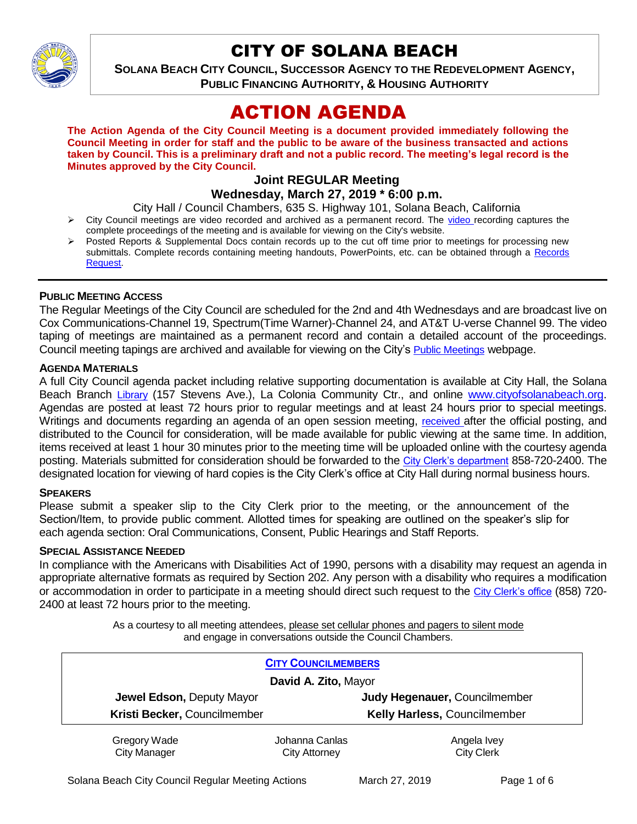

# CITY OF SOLANA BEACH

**SOLANA BEACH CITY COUNCIL, SUCCESSOR AGENCY TO THE REDEVELOPMENT AGENCY, PUBLIC FINANCING AUTHORITY, & HOUSING AUTHORITY** 

# ACTION AGENDA

**The Action Agenda of the City Council Meeting is a document provided immediately following the Council Meeting in order for staff and the public to be aware of the business transacted and actions taken by Council. This is a preliminary draft and not a public record. The meeting's legal record is the Minutes approved by the City Council.**

## **Joint REGULAR Meeting Wednesday, March 27, 2019 \* 6:00 p.m.**

City Hall / Council Chambers, 635 S. Highway 101, Solana Beach, California

- $\triangleright$  City Council meetings are [video r](https://solanabeach.12milesout.com/#page=1)ecorded and archived as a permanent record. The video recording captures the complete proceedings of the meeting and is available for viewing on the City's website.
- Posted Reports & Supplemental Docs contain records up to the cut off time prior to meetings for processing new submittals. Complete records containing meeting handouts, PowerPoints, etc. can be obtained through a Records [Request.](http://www.ci.solana-beach.ca.us/index.asp?SEC=F5D45D10-70CE-4291-A27C-7BD633FC6742&Type=B_BASIC)

## **PUBLIC MEETING ACCESS**

The Regular Meetings of the City Council are scheduled for the 2nd and 4th Wednesdays and are broadcast live on Cox Communications-Channel 19, Spectrum(Time Warner)-Channel 24, and AT&T U-verse Channel 99. The video taping of meetings are maintained as a permanent record and contain a detailed account of the proceedings. Council meeting tapings are archived and available for viewing on the City's [Public Meetings](https://www.ci.solana-beach.ca.us/index.asp?SEC=F0F1200D-21C6-4A88-8AE1-0BC07C1A81A7&Type=B_BASIC) webpage.

## **AGENDA MATERIALS**

A full City Council agenda packet including relative supporting documentation is available at City Hall, the Solana Beach Branch [Library](http://www.sdcl.org/locations_SB.html) (157 Stevens Ave.), La Colonia Community Ctr., and online [www.cityofsolanabeach.org.](http://www.cityofsolanabeach.org/) Agendas are posted at least 72 hours prior to regular meetings and at least 24 hours prior to special meetings. Writings and documents regarding an agenda of an open session meeting, [received](mailto:EMAILGRP-CityClerksOfc@cosb.org) after the official posting, and distributed to the Council for consideration, will be made available for public viewing at the same time. In addition, items received at least 1 hour 30 minutes prior to the meeting time will be uploaded online with the courtesy agenda posting. Materials submitted for consideration should be forwarded to the [City Clerk's department](mailto:EMAILGRP-CityClerksOfc@cosb.org) 858-720-2400. The designated location for viewing of hard copies is the City Clerk's office at City Hall during normal business hours.

## **SPEAKERS**

Please submit a speaker slip to the City Clerk prior to the meeting, or the announcement of the Section/Item, to provide public comment. Allotted times for speaking are outlined on the speaker's slip for each agenda section: Oral Communications, Consent, Public Hearings and Staff Reports.

#### **SPECIAL ASSISTANCE NEEDED**

In compliance with the Americans with Disabilities Act of 1990, persons with a disability may request an agenda in appropriate alternative formats as required by Section 202. Any person with a disability who requires a modification or accommodation in order to participate in a meeting should direct such request to the [City Clerk's office](mailto:clerkadmin@cosb.org?subject=City%20Clerk%20Notice%20of%20Special%20Services%20Needed) (858) 720- 2400 at least 72 hours prior to the meeting.

> As a courtesy to all meeting attendees, please set cellular phones and pagers to silent mode and engage in conversations outside the Council Chambers.

| <b>CITY COUNCILMEMBERS</b>          |                                        |                                  |
|-------------------------------------|----------------------------------------|----------------------------------|
| David A. Zito, Mayor                |                                        |                                  |
| Jewel Edson, Deputy Mayor           |                                        | Judy Hegenauer, Councilmember    |
| Kristi Becker, Councilmember        |                                        | Kelly Harless, Councilmember     |
| Gregory Wade<br><b>City Manager</b> | Johanna Canlas<br><b>City Attorney</b> | Angela Ivey<br><b>City Clerk</b> |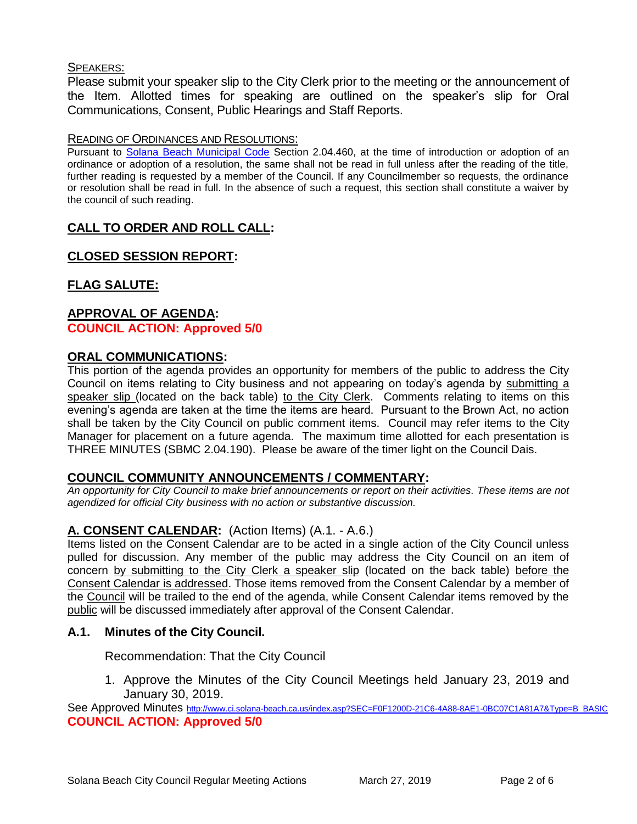## SPEAKERS:

Please submit your speaker slip to the City Clerk prior to the meeting or the announcement of the Item. Allotted times for speaking are outlined on the speaker's slip for Oral Communications, Consent, Public Hearings and Staff Reports.

## READING OF ORDINANCES AND RESOLUTIONS:

Pursuant to [Solana Beach Municipal Code](mailto:https://www.codepublishing.com/CA/SolanaBeach/) Section 2.04.460, at the time of introduction or adoption of an ordinance or adoption of a resolution, the same shall not be read in full unless after the reading of the title, further reading is requested by a member of the Council. If any Councilmember so requests, the ordinance or resolution shall be read in full. In the absence of such a request, this section shall constitute a waiver by the council of such reading.

# **CALL TO ORDER AND ROLL CALL:**

# **CLOSED SESSION REPORT:**

# **FLAG SALUTE:**

## **APPROVAL OF AGENDA: COUNCIL ACTION: Approved 5/0**

## **ORAL COMMUNICATIONS:**

This portion of the agenda provides an opportunity for members of the public to address the City Council on items relating to City business and not appearing on today's agenda by submitting a speaker slip (located on the back table) to the City Clerk. Comments relating to items on this evening's agenda are taken at the time the items are heard. Pursuant to the Brown Act, no action shall be taken by the City Council on public comment items. Council may refer items to the City Manager for placement on a future agenda. The maximum time allotted for each presentation is THREE MINUTES (SBMC 2.04.190). Please be aware of the timer light on the Council Dais.

## **COUNCIL COMMUNITY ANNOUNCEMENTS / COMMENTARY:**

*An opportunity for City Council to make brief announcements or report on their activities. These items are not agendized for official City business with no action or substantive discussion.* 

## **A. CONSENT CALENDAR:** (Action Items) (A.1. - A.6.)

Items listed on the Consent Calendar are to be acted in a single action of the City Council unless pulled for discussion. Any member of the public may address the City Council on an item of concern by submitting to the City Clerk a speaker slip (located on the back table) before the Consent Calendar is addressed. Those items removed from the Consent Calendar by a member of the Council will be trailed to the end of the agenda, while Consent Calendar items removed by the public will be discussed immediately after approval of the Consent Calendar.

## **A.1. Minutes of the City Council.**

Recommendation: That the City Council

1. Approve the Minutes of the City Council Meetings held January 23, 2019 and January 30, 2019.

See Approved Minutes [http://www.ci.solana-beach.ca.us/index.asp?SEC=F0F1200D-21C6-4A88-8AE1-0BC07C1A81A7&Type=B\\_BASIC](http://www.ci.solana-beach.ca.us/index.asp?SEC=F0F1200D-21C6-4A88-8AE1-0BC07C1A81A7&Type=B_BASIC) **COUNCIL ACTION: Approved 5/0**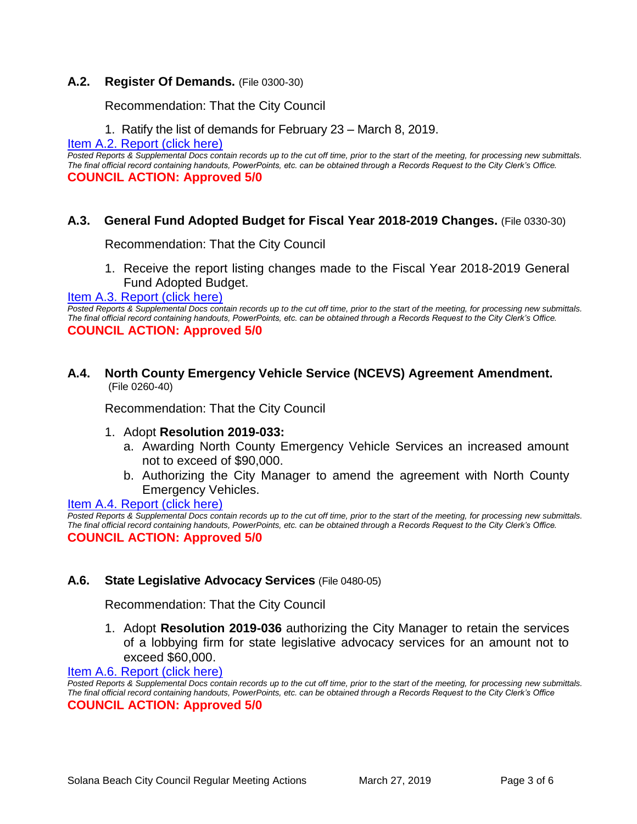## **A.2. Register Of Demands.** (File 0300-30)

Recommendation: That the City Council

1. Ratify the list of demands for February 23 – March 8, 2019.

[Item A.2. Report \(click here\)](https://solanabeach.govoffice3.com/vertical/Sites/%7B840804C2-F869-4904-9AE3-720581350CE7%7D/uploads/Item_A.2._Report_(click_here)_03-27-19_-_O.pdf) 

*Posted Reports & Supplemental Docs contain records up to the cut off time, prior to the start of the meeting, for processing new submittals. The final official record containing handouts, PowerPoints, etc. can be obtained through a Records Request to the City Clerk's Office.* **COUNCIL ACTION: Approved 5/0**

## **A.3. General Fund Adopted Budget for Fiscal Year 2018-2019 Changes.** (File 0330-30)

Recommendation: That the City Council

1. Receive the report listing changes made to the Fiscal Year 2018-2019 General Fund Adopted Budget.

#### [Item A.3. Report \(click here\)](https://solanabeach.govoffice3.com/vertical/Sites/%7B840804C2-F869-4904-9AE3-720581350CE7%7D/uploads/Item_A.3._Report_(click_here)_03-27-19_-_O.pdf)

*Posted Reports & Supplemental Docs contain records up to the cut off time, prior to the start of the meeting, for processing new submittals. The final official record containing handouts, PowerPoints, etc. can be obtained through a Records Request to the City Clerk's Office.* **COUNCIL ACTION: Approved 5/0**

## **A.4. North County Emergency Vehicle Service (NCEVS) Agreement Amendment.** (File 0260-40)

Recommendation: That the City Council

- 1. Adopt **Resolution 2019-033:**
	- a. Awarding North County Emergency Vehicle Services an increased amount not to exceed of \$90,000.
	- b. Authorizing the City Manager to amend the agreement with North County Emergency Vehicles.

Item A.4. Report (click here)

*Posted Reports & Supplemental Docs contain records up to the cut off time, prior to the start of the meeting, for processing new submittals. The final official record containing handouts, PowerPoints, etc. can be obtained through a Records Request to the City Clerk's Office.* **COUNCIL ACTION: Approved 5/0**

## **A.6. State Legislative Advocacy Services** (File 0480-05)

Recommendation: That the City Council

1. Adopt **Resolution 2019-036** authorizing the City Manager to retain the services of a lobbying firm for state legislative advocacy services for an amount not to exceed \$60,000.

[Item A.6. Report \(click here\)](https://solanabeach.govoffice3.com/vertical/Sites/%7B840804C2-F869-4904-9AE3-720581350CE7%7D/uploads/Item_A.6._Report_(click_here)_03-27-19_-_O.pdf) 

*Posted Reports & Supplemental Docs contain records up to the cut off time, prior to the start of the meeting, for processing new submittals. The final official record containing handouts, PowerPoints, etc. can be obtained through a Records Request to the City Clerk's Office* **COUNCIL ACTION: Approved 5/0**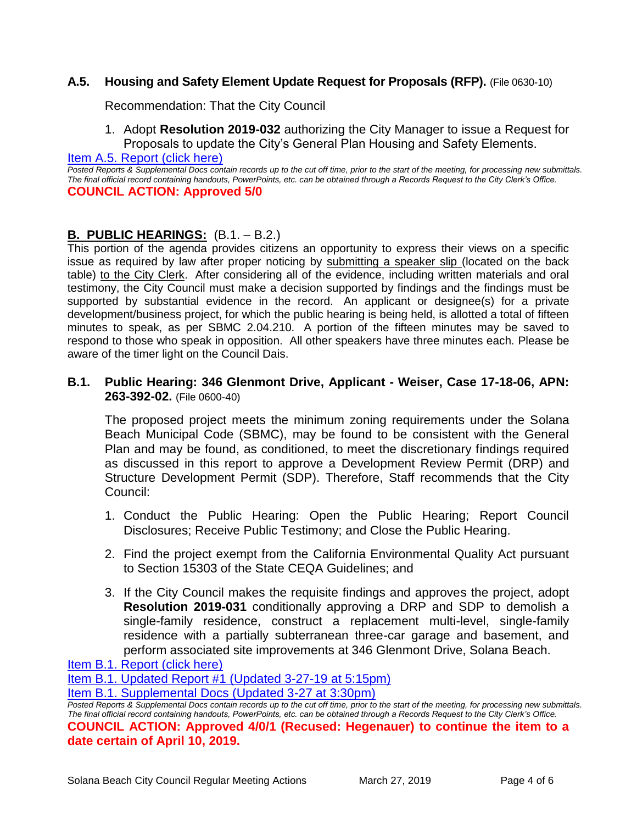## **A.5. Housing and Safety Element Update Request for Proposals (RFP).** (File 0630-10)

Recommendation: That the City Council

1. Adopt **Resolution 2019-032** authorizing the City Manager to issue a Request for Proposals to update the City's General Plan Housing and Safety Elements.

[Item A.5. Report \(click here\)](https://solanabeach.govoffice3.com/vertical/Sites/%7B840804C2-F869-4904-9AE3-720581350CE7%7D/uploads/Item_A.5._Report_(click_here)_03-27-19_-_O.pdf) 

*Posted Reports & Supplemental Docs contain records up to the cut off time, prior to the start of the meeting, for processing new submittals. The final official record containing handouts, PowerPoints, etc. can be obtained through a Records Request to the City Clerk's Office.* **COUNCIL ACTION: Approved 5/0**

# **B. PUBLIC HEARINGS:** (B.1. – B.2.)

This portion of the agenda provides citizens an opportunity to express their views on a specific issue as required by law after proper noticing by submitting a speaker slip (located on the back table) to the City Clerk. After considering all of the evidence, including written materials and oral testimony, the City Council must make a decision supported by findings and the findings must be supported by substantial evidence in the record. An applicant or designee(s) for a private development/business project, for which the public hearing is being held, is allotted a total of fifteen minutes to speak, as per SBMC 2.04.210. A portion of the fifteen minutes may be saved to respond to those who speak in opposition. All other speakers have three minutes each. Please be aware of the timer light on the Council Dais.

## **B.1. Public Hearing: 346 Glenmont Drive, Applicant - Weiser, Case 17-18-06, APN: 263-392-02.** (File 0600-40)

The proposed project meets the minimum zoning requirements under the Solana Beach Municipal Code (SBMC), may be found to be consistent with the General Plan and may be found, as conditioned, to meet the discretionary findings required as discussed in this report to approve a Development Review Permit (DRP) and Structure Development Permit (SDP). Therefore, Staff recommends that the City Council:

- 1. Conduct the Public Hearing: Open the Public Hearing; Report Council Disclosures; Receive Public Testimony; and Close the Public Hearing.
- 2. Find the project exempt from the California Environmental Quality Act pursuant to Section 15303 of the State CEQA Guidelines; and
- 3. If the City Council makes the requisite findings and approves the project, adopt **Resolution 2019-031** conditionally approving a DRP and SDP to demolish a single-family residence, construct a replacement multi-level, single-family residence with a partially subterranean three-car garage and basement, and perform associated site improvements at 346 Glenmont Drive, Solana Beach.

[Item B.1. Report \(click here\)](https://solanabeach.govoffice3.com/vertical/Sites/%7B840804C2-F869-4904-9AE3-720581350CE7%7D/uploads/Item_B.1._Report_(click_here)_03-27-19_-_O.pdf) 

[Item B.1. Updated Report #1 \(Updated](https://solanabeach.govoffice3.com/vertical/Sites/%7B840804C2-F869-4904-9AE3-720581350CE7%7D/uploads/Item_B.1._Updated_Report_1_(3-27_at_500pm).pdf) 3-27-19 at 5:15pm)

[Item B.1. Supplemental Docs \(Updated 3-27](https://solanabeach.govoffice3.com/vertical/Sites/%7B840804C2-F869-4904-9AE3-720581350CE7%7D/uploads/Item_B.1._Supplemental_Docs_(3-27_at_330pm).pdf) at 3:30pm)

*Posted Reports & Supplemental Docs contain records up to the cut off time, prior to the start of the meeting, for processing new submittals. The final official record containing handouts, PowerPoints, etc. can be obtained through a Records Request to the City Clerk's Office.* **COUNCIL ACTION: Approved 4/0/1 (Recused: Hegenauer) to continue the item to a date certain of April 10, 2019.**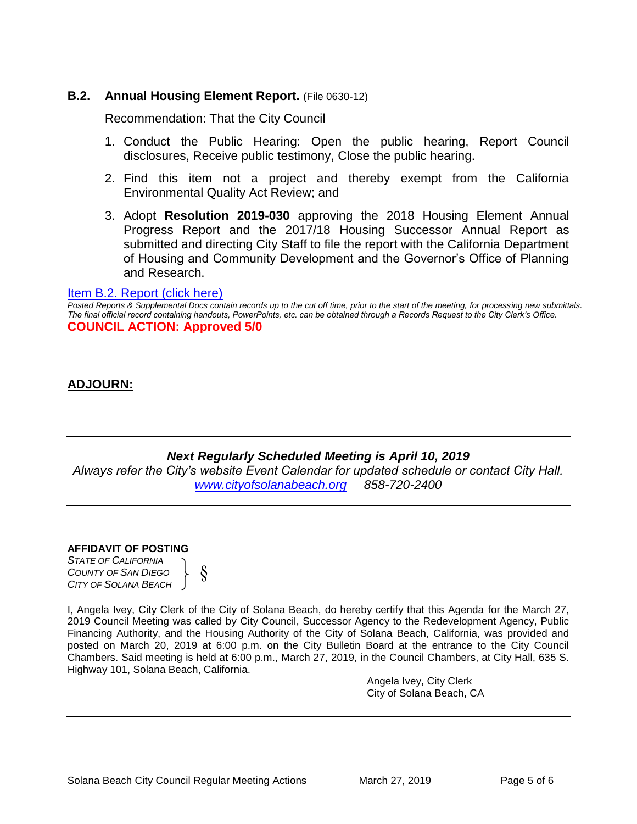## **B.2.** Annual Housing Element Report. (File 0630-12)

Recommendation: That the City Council

- 1. Conduct the Public Hearing: Open the public hearing, Report Council disclosures, Receive public testimony, Close the public hearing.
- 2. Find this item not a project and thereby exempt from the California Environmental Quality Act Review; and
- 3. Adopt **Resolution 2019-030** approving the 2018 Housing Element Annual Progress Report and the 2017/18 Housing Successor Annual Report as submitted and directing City Staff to file the report with the California Department of Housing and Community Development and the Governor's Office of Planning and Research.

#### [Item B.2. Report \(click here\)](https://solanabeach.govoffice3.com/vertical/Sites/%7B840804C2-F869-4904-9AE3-720581350CE7%7D/uploads/Item_B.2._Report_(click_here)_03-27-19_-_O.pdf)

*Posted Reports & Supplemental Docs contain records up to the cut off time, prior to the start of the meeting, for processing new submittals. The final official record containing handouts, PowerPoints, etc. can be obtained through a Records Request to the City Clerk's Office.* **COUNCIL ACTION: Approved 5/0**

## **ADJOURN:**

## *Next Regularly Scheduled Meeting is April 10, 2019*

*Always refer the City's website Event Calendar for updated schedule or contact City Hall. [www.cityofsolanabeach.org](http://www.cityofsolanabeach.org/) 858-720-2400*

#### **AFFIDAVIT OF POSTING**

*STATE OF CALIFORNIA COUNTY OF SAN DIEGO CITY OF SOLANA BEACH* §

I, Angela Ivey, City Clerk of the City of Solana Beach, do hereby certify that this Agenda for the March 27, 2019 Council Meeting was called by City Council, Successor Agency to the Redevelopment Agency, Public Financing Authority, and the Housing Authority of the City of Solana Beach, California, was provided and posted on March 20, 2019 at 6:00 p.m. on the City Bulletin Board at the entrance to the City Council Chambers. Said meeting is held at 6:00 p.m., March 27, 2019, in the Council Chambers, at City Hall, 635 S. Highway 101, Solana Beach, California.

> Angela Ivey, City Clerk City of Solana Beach, CA